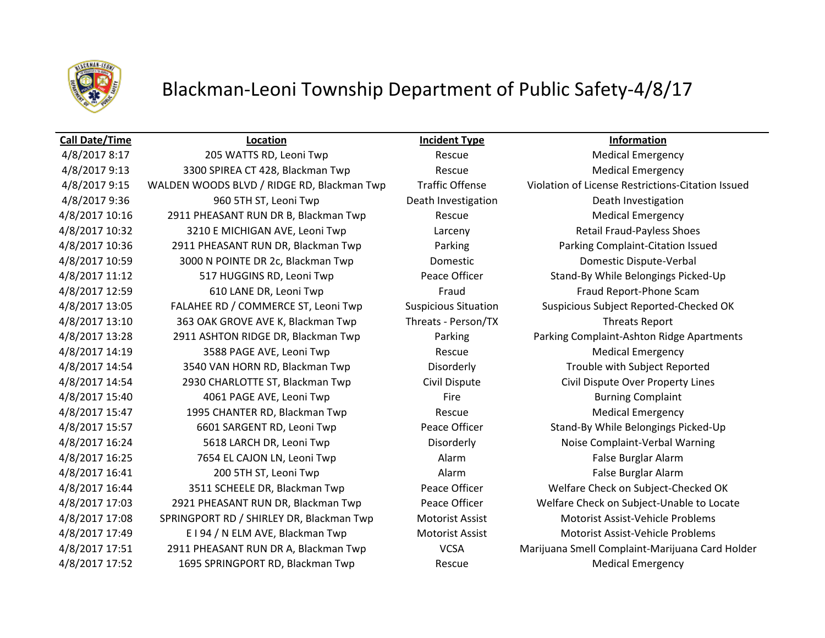

# Blackman-Leoni Township Department of Public Safety-4/8/17

## **Call Date/Time Location Incident Type Information**

A/8/2017 8:17 205 WATTS RD, Leoni Twp Rescue Rescue Medical Emergency 4/8/2017 9:13 3300 SPIREA CT 428, Blackman Twp Rescue Medical Emergency 4/8/2017 9:36 960 5TH ST, Leoni Twp Death Investigation Death Investigation 4/8/2017 10:16 2911 PHEASANT RUN DR B, Blackman Twp Rescue Medical Emergency 4/8/2017 10:32 3210 E MICHIGAN AVE, Leoni Twp Larceny Retail Fraud-Payless Shoes 4/8/2017 10:36 2911 PHEASANT RUN DR, Blackman Twp Parking Parking Parking Complaint-Citation Issued 4/8/2017 10:59 3000 N POINTE DR 2c, Blackman Twp Domestic Domestic Dispute-Verbal 4/8/2017 11:12 517 HUGGINS RD, Leoni Twp Peace Officer Stand-By While Belongings Picked-Up 4/8/2017 12:59 610 LANE DR, Leoni Twp Fraud Fraud Report-Phone Scam 4/8/2017 13:05 FALAHEE RD / COMMERCE ST, Leoni Twp Suspicious Situation Suspicious Subject Reported-Checked OK 4/8/2017 13:10 363 OAK GROVE AVE K, Blackman Twp Threats - Person/TX Threats Report A/8/2017 14:19 3588 PAGE AVE, Leoni Twp Rescue Rescue Medical Emergency 4/8/2017 14:54 3540 VAN HORN RD, Blackman Twp Disorderly Disorderly Trouble with Subject Reported 4/8/2017 14:54 2930 CHARLOTTE ST, Blackman Twp Civil Dispute Civil Dispute Over Property Lines 4/8/2017 15:40 4061 PAGE AVE, Leoni Twp Fire Fire Burning Complaint 4/8/2017 15:47 1995 CHANTER RD, Blackman Twp Rescue Medical Emergency 4/8/2017 15:57 6601 SARGENT RD, Leoni Twp Peace Officer Stand-By While Belongings Picked-Up 4/8/2017 16:24 5618 LARCH DR, Leoni Twp Disorderly Noise Complaint-Verbal Warning 4/8/2017 16:25 7654 EL CAJON LN, Leoni Twp Alarm Alarm False Burglar Alarm 4/8/2017 16:41 200 5TH ST, Leoni Twp Alarm Alarm Alarm False Burglar Alarm 4/8/2017 16:44 3511 SCHEELE DR, Blackman Twp Peace Officer Welfare Check on Subject-Checked OK 4/8/2017 17:03 2921 PHEASANT RUN DR, Blackman Twp Peace Officer Welfare Check on Subject-Unable to Locate 4/8/2017 17:08 SPRINGPORT RD / SHIRLEY DR, Blackman Twp Motorist Assist Motorist Assist-Vehicle Problems 4/8/2017 17:49 E I 94 / N ELM AVE, Blackman Twp Motorist Assist Motorist Assist Motorist Assist-Vehicle Problems A/8/2017 17:52 1695 SPRINGPORT RD, Blackman Twp Rescue Rescue Medical Emergency

4/8/2017 9:15 WALDEN WOODS BLVD / RIDGE RD, Blackman Twp Traffic Offense Violation of License Restrictions-Citation Issued 4/8/2017 13:28 2911 ASHTON RIDGE DR, Blackman Twp Parking Parking Complaint-Ashton Ridge Apartments 4/8/2017 17:51 2911 PHEASANT RUN DR A, Blackman Twp VCSA Marijuana Smell Complaint-Marijuana Card Holder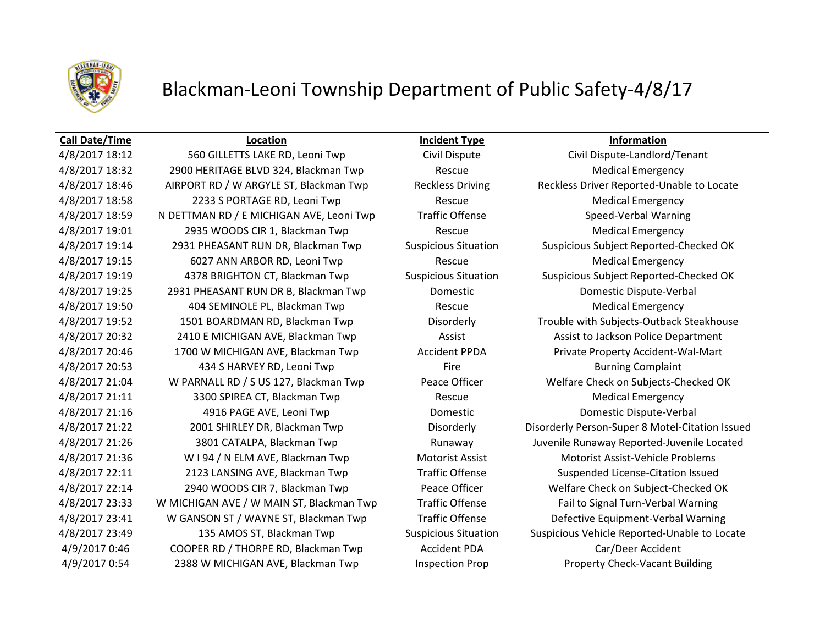

## Blackman-Leoni Township Department of Public Safety-4/8/17

### **Call Date/Time Location Incident Type Information**

4/8/2017 18:32 2900 HERITAGE BLVD 324, Blackman Twp Rescue Medical Emergency 4/8/2017 18:46 AIRPORT RD / W ARGYLE ST, Blackman Twp Reckless Driving Reckless Driver Reported-Unable to Locate A/8/2017 18:58 2233 S PORTAGE RD, Leoni Twp Rescue Rescue Medical Emergency 4/8/2017 18:59 N DETTMAN RD / E MICHIGAN AVE, Leoni Twp Traffic Offense Speed-Verbal Warning 4/8/2017 19:01 2935 WOODS CIR 1, Blackman Twp Rescue Medical Emergency 4/8/2017 19:14 2931 PHEASANT RUN DR, Blackman Twp Suspicious Situation Suspicious Subject Reported-Checked OK A/8/2017 19:15 6027 ANN ARBOR RD, Leoni Twp Rescue Rescue Medical Emergency 4/8/2017 19:19 4378 BRIGHTON CT, Blackman Twp Suspicious Situation Suspicious Subject Reported-Checked OK 4/8/2017 19:25 2931 PHEASANT RUN DR B, Blackman Twp Domestic Domestic Dispute-Verbal 4/8/2017 19:50 404 SEMINOLE PL, Blackman Twp Rescue Medical Emergency 4/8/2017 19:52 1501 BOARDMAN RD, Blackman Twp Disorderly Trouble with Subjects-Outback Steakhouse 4/8/2017 20:32 2410 E MICHIGAN AVE, Blackman Twp **Assist Assist Assist to Jackson Police Department** 4/8/2017 20:46 1700 W MICHIGAN AVE, Blackman Twp Accident PPDA Private Property Accident-Wal-Mart 4/8/2017 20:53 434 S HARVEY RD, Leoni Twp Fire Fire Burning Complaint 4/8/2017 21:04 W PARNALL RD / S US 127, Blackman Twp Peace Officer Welfare Check on Subjects-Checked OK 4/8/2017 21:11 3300 SPIREA CT, Blackman Twp Rescue Medical Emergency 4/8/2017 21:16 4916 PAGE AVE, Leoni Twp Domestic Domestic Dispute-Verbal 4/8/2017 21:26 3801 CATALPA, Blackman Twp Runaway Juvenile Runaway Reported-Juvenile Located 4/8/2017 21:36 W I 94 / N ELM AVE, Blackman Twp Motorist Assist Motorist Assist-Vehicle Problems 4/8/2017 22:11 2123 LANSING AVE, Blackman Twp Traffic Offense Suspended License-Citation Issued 4/8/2017 22:14 2940 WOODS CIR 7, Blackman Twp Peace Officer Welfare Check on Subject-Checked OK 4/8/2017 23:33 W MICHIGAN AVE / W MAIN ST, Blackman Twp Traffic Offense Fail to Signal Turn-Verbal Warning 4/8/2017 23:41 W GANSON ST / WAYNE ST, Blackman Twp Traffic Offense Defective Equipment-Verbal Warning 4/9/2017 0:46 COOPER RD / THORPE RD, Blackman Twp Accident PDA Car/Deer Accident 4/9/2017 0:54 2388 W MICHIGAN AVE, Blackman Twp Inspection Prop Property Check-Vacant Building

4/8/2017 18:12 560 GILLETTS LAKE RD, Leoni Twp Civil Dispute Civil Dispute-Landlord/Tenant 4/8/2017 21:22 2001 SHIRLEY DR, Blackman Twp Disorderly Disorderly Person-Super 8 Motel-Citation Issued 4/8/2017 23:49 135 AMOS ST, Blackman Twp Suspicious Situation Suspicious Vehicle Reported-Unable to Locate